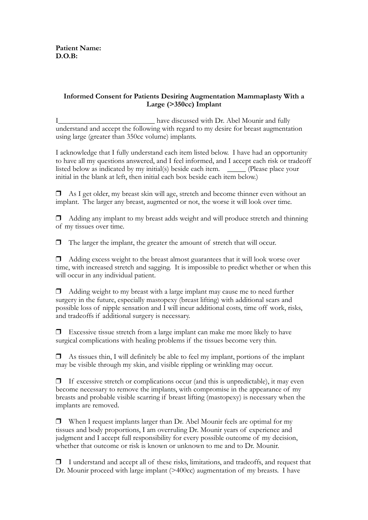## **Informed Consent for Patients Desiring Augmentation Mammaplasty With a Large (>350cc) Implant**

I\_\_\_\_\_\_\_\_\_\_\_\_\_\_\_\_\_\_\_\_\_\_\_\_\_\_ have discussed with Dr. Abel Mounir and fully understand and accept the following with regard to my desire for breast augmentation using large (greater than 350cc volume) implants.

I acknowledge that I fully understand each item listed below. I have had an opportunity to have all my questions answered, and I feel informed, and I accept each risk or tradeoff listed below as indicated by my initial(s) beside each item. \_\_\_\_\_ (Please place your initial in the blank at left, then initial each box beside each item below.)

 $\Box$  As I get older, my breast skin will age, stretch and become thinner even without an implant. The larger any breast, augmented or not, the worse it will look over time.

 $\Box$  Adding any implant to my breast adds weight and will produce stretch and thinning of my tissues over time.

❒ The larger the implant, the greater the amount of stretch that will occur.

❒ Adding excess weight to the breast almost guarantees that it will look worse over time, with increased stretch and sagging. It is impossible to predict whether or when this will occur in any individual patient.

 $\Box$  Adding weight to my breast with a large implant may cause me to need further surgery in the future, especially mastopexy (breast lifting) with additional scars and possible loss of nipple sensation and I will incur additional costs, time off work, risks, and tradeoffs if additional surgery is necessary.

 $\Box$  Excessive tissue stretch from a large implant can make me more likely to have surgical complications with healing problems if the tissues become very thin.

 $\Box$  As tissues thin, I will definitely be able to feel my implant, portions of the implant may be visible through my skin, and visible rippling or wrinkling may occur.

 $\Box$  If excessive stretch or complications occur (and this is unpredictable), it may even become necessary to remove the implants, with compromise in the appearance of my breasts and probable visible scarring if breast lifting (mastopexy) is necessary when the implants are removed.

❒ When I request implants larger than Dr. Abel Mounir feels are optimal for my tissues and body proportions, I am overruling Dr. Mounir years of experience and judgment and I accept full responsibility for every possible outcome of my decision, whether that outcome or risk is known or unknown to me and to Dr. Mounir.

❒ I understand and accept all of these risks, limitations, and tradeoffs, and request that Dr. Mounir proceed with large implant (>400cc) augmentation of my breasts. I have